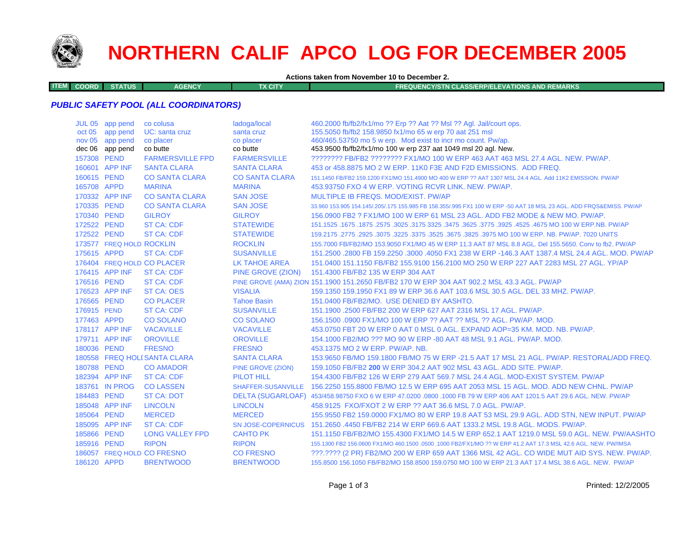

# **NORTHERN CALIF APCO LOG FOR DECEMBER 2005**

**Actions taken from November 10 to December 2.**

**ITEMCOORD STATUS AGENCY TX CITY FREQUENCY/STN CLASS/ERP/ELEVATIONS AND REMARKS**

#### *PUBLIC SAFETY POOL (ALL COORDINATORS)*

|             | JUL 05 app pend          | co colusa                    | ladoga/local          | 460.2000 fb/fb2/fx1/mo ?? Erp ?? Aat ?? Msl ?? Agl. Jail/court ops.                                                 |
|-------------|--------------------------|------------------------------|-----------------------|---------------------------------------------------------------------------------------------------------------------|
|             | oct 05 app pend          | UC: santa cruz               | santa cruz            | 155.5050 fb/fb2 158.9850 fx1/mo 65 w erp 70 aat 251 msl                                                             |
|             | nov 05 app pend          | co placer                    | co placer             | 460/465.53750 mo 5 w erp. Mod exist to incr mo count. Pw/ap.                                                        |
|             | dec 06 app pend          | co butte                     | co butte              | 453.9500 fb/fb2/fx1/mo 100 w erp 237 aat 1049 msl 20 agl. New.                                                      |
| 157308 PEND |                          | <b>FARMERSVILLE FPD</b>      | <b>FARMERSVILLE</b>   | ???????? FB/FB2 ??????? FX1/MO 100 W ERP 463 AAT 463 MSL 27.4 AGL. NEW. PW/AP.                                      |
|             | 160601 APP INF           | <b>SANTA CLARA</b>           | <b>SANTA CLARA</b>    | 453 or 458,8875 MO 2 W ERP, 11K0 F3E AND F2D EMISSIONS. ADD FREQ.                                                   |
| 160615 PEND |                          | <b>CO SANTA CLARA</b>        | <b>CO SANTA CLARA</b> | 151.1450 FB/FB2 159.1200 FX1/MO 151.4900 MO 400 W ERP ?? AAT 1307 MSL 24.4 AGL. Add 11K2 EMISSION. PW/AP            |
| 165708 APPD |                          | <b>MARINA</b>                | <b>MARINA</b>         | 453.93750 FXO 4 W ERP. VOTING RCVR LINK, NEW, PW/AP.                                                                |
|             | 170332 APP INF           | <b>CO SANTA CLARA</b>        | <b>SAN JOSE</b>       | MULTIPLE IB FREQS, MOD/EXIST, PW/AP                                                                                 |
| 170335 PEND |                          | <b>CO SANTA CLARA</b>        | <b>SAN JOSE</b>       | 33,960 153,905 154,145/.205/.175 155,985 FB 158,355/.995 FX1 100 W ERP -50 AAT 18 MSL 23 AGL. ADD FRQS&EMISS, PW/AP |
| 170340 PEND |                          | <b>GILROY</b>                | <b>GILROY</b>         | 156.0900 FB2 ? FX1/MO 100 W ERP 61 MSL 23 AGL. ADD FB2 MODE & NEW MO. PW/AP.                                        |
| 172522 PEND |                          | <b>ST CA: CDF</b>            | <b>STATEWIDE</b>      | 1675.1675.257.1675 MO 100 W ERP.NB. PW/AP 3325.3475.3625.3475 3325.3475 151.1525.267.1675 1675.1675                 |
| 172522 PEND |                          | <b>ST CA: CDF</b>            | <b>STATEWIDE</b>      | 159.2175 .2775 .2925 .3075 .3225 .3675 .3675 .3625 .3975 MO 100 W ERP. NB. PW/AP. 7020 UNITS                        |
|             | 173577 FREQ HOLD ROCKLIN |                              | <b>ROCKLIN</b>        | 155,7000 FB/FB2/MO 153,9050 FX1/MO 45 W ERP 11.3 AAT 87 MSL 8.8 AGL, Del 155,5650, Conv to fb2, PW/AP               |
| 175615 APPD |                          | <b>ST CA: CDF</b>            | <b>SUSANVILLE</b>     | 151.2500 .2800 FB 159.2250 .3000 .4050 FX1 238 W ERP -146.3 AAT 1387.4 MSL 24.4 AGL, MOD, PW/AP                     |
|             |                          | 176404 FREQ HOLD CO PLACER   | LK TAHOE AREA         | 151,0400 151,1150 FB/FB2 155,9100 156,2100 MO 250 W ERP 227 AAT 2283 MSL 27 AGL, YP/AP                              |
|             | 176415 APP INF           | <b>ST CA: CDF</b>            |                       | PINE GROVE (ZION) 151.4300 FB/FB2 135 W ERP 304 AAT                                                                 |
| 176516 PEND |                          | <b>ST CA: CDF</b>            |                       | PINE GROVE (AMA) ZION 151.1900 151.2650 FB/FB2 170 W ERP 304 AAT 902.2 MSL 43.3 AGL. PW/AP                          |
|             | 176523 APP INF           | <b>ST CA: OES</b>            | <b>VISALIA</b>        | 159.1350 159.1950 FX1 89 W ERP 36.6 AAT 103.6 MSL 30.5 AGL, DEL 33 MHZ, PW/AP.                                      |
| 176565 PEND |                          | <b>CO PLACER</b>             | <b>Tahoe Basin</b>    | 151.0400 FB/FB2/MO. USE DENIED BY AASHTO.                                                                           |
| 176915 PEND |                          | <b>ST CA: CDF</b>            | <b>SUSANVILLE</b>     | 151.1900 .2500 FB/FB2 200 W ERP 627 AAT 2316 MSL 17 AGL, PW/AP.                                                     |
| 177463 APPD |                          | <b>CO SOLANO</b>             | <b>CO SOLANO</b>      | 156.1500 .0900 FX1/MO 100 W ERP ?? AAT ?? MSL ?? AGL. PW/AP. MOD.                                                   |
|             | 178117 APP INF           | <b>VACAVILLE</b>             | <b>VACAVILLE</b>      | 453.0750 FBT 20 W ERP 0 AAT 0 MSL 0 AGL, EXPAND AOP=35 KM, MOD, NB, PW/AP,                                          |
|             | 179711 APP INF           | <b>OROVILLE</b>              | <b>OROVILLE</b>       | 154.1000 FB2/MO ??? MO 90 W ERP -80 AAT 48 MSL 9.1 AGL. PW/AP. MOD.                                                 |
| 180036 PEND |                          | <b>FRESNO</b>                | <b>FRESNO</b>         | 453,1375 MO 2 W ERP. PW/AP. NB.                                                                                     |
|             |                          | 180558 FREQ HOLI SANTA CLARA | <b>SANTA CLARA</b>    | 153,9650 FB/MO 159,1800 FB/MO 75 W ERP -21.5 AAT 17 MSL 21 AGL, PW/AP, RESTORAL/ADD FREQ.                           |
| 180788 PEND |                          | <b>CO AMADOR</b>             | PINE GROVE (ZION)     | 159.1050 FB/FB2 200 W ERP 304.2 AAT 902 MSL 43 AGL, ADD SITE, PW/AP.                                                |
|             | 182394 APP INF           | <b>ST CA: CDF</b>            | <b>PILOT HILL</b>     | 154,4300 FB/FB2 126 W ERP 279 AAT 569.7 MSL 24.4 AGL, MOD-EXIST SYSTEM, PW/AP                                       |
|             | 183761 IN PROG           | <b>CO LASSEN</b>             |                       | SHAFFER-SUSANVILLE 156.2250 155.8800 FB/MO 12.5 W ERP 695 AAT 2053 MSL 15 AGL, MOD, ADD NEW CHNL, PW/AP             |
| 184483 PEND |                          | <b>ST CA: DOT</b>            |                       | DELTA (SUGARLOAF) 453/458.98750 FXO 6 W ERP 47.0200 .0800 .1000 FB 79 W ERP 406 AAT 1201.5 AAT 29.6 AGL. NEW, PW/AP |
|             | 185048 APP INF           | <b>LINCOLN</b>               | <b>LINCOLN</b>        | 458.9125 FXO/FXOT 2 W ERP ?? AAT 36.6 MSL 7.0 AGL, PW/AP.                                                           |
| 185064 PEND |                          | <b>MERCED</b>                | <b>MERCED</b>         | 155.9550 FB2 159.0000 FX1/MO 80 W ERP 19.8 AAT 53 MSL 29.9 AGL. ADD STN, NEW INPUT. PW/AP                           |
|             | 185095 APP INF           | <b>ST CA: CDF</b>            |                       | SN JOSE-COPERNICUS 151,2650,4450 FB/FB2 214 W ERP 669.6 AAT 1333.2 MSL 19.8 AGL, MODS, PW/AP.                       |
| 185866 PEND |                          | <b>LONG VALLEY FPD</b>       | <b>CAHTO PK</b>       | 151.1150 FB/FB2/MO 155.4300 FX1/MO 14.5 W ERP 652.1 AAT 1219.0 MSL 59.0 AGL. NEW, PW/AASHTO                         |
| 185916 PEND |                          | <b>RIPON</b>                 | <b>RIPON</b>          | 155.1300 FB2 156.0600 FX1/MO 460.1500 .0500 .1000 FB2/FX1/MO ?? W ERP 41.2 AAT 17.3 MSL 42.6 AGL. NEW. PW/IMSA      |
|             |                          | 186057 FREQ HOLD CO FRESNO   | <b>CO FRESNO</b>      | ???.???? (2 PR) FB2/MO 200 W ERP 659 AAT 1366 MSL 42 AGL. CO WIDE MUT AID SYS. NEW. PW/AP.                          |
| 186120 APPD |                          | <b>BRENTWOOD</b>             | <b>BRENTWOOD</b>      | 155.8500 156.1050 FB/FB2/MO 158.8500 159.0750 MO 100 W ERP 21.3 AAT 17.4 MSL 38.6 AGL, NEW. PW/AP                   |
|             |                          |                              |                       |                                                                                                                     |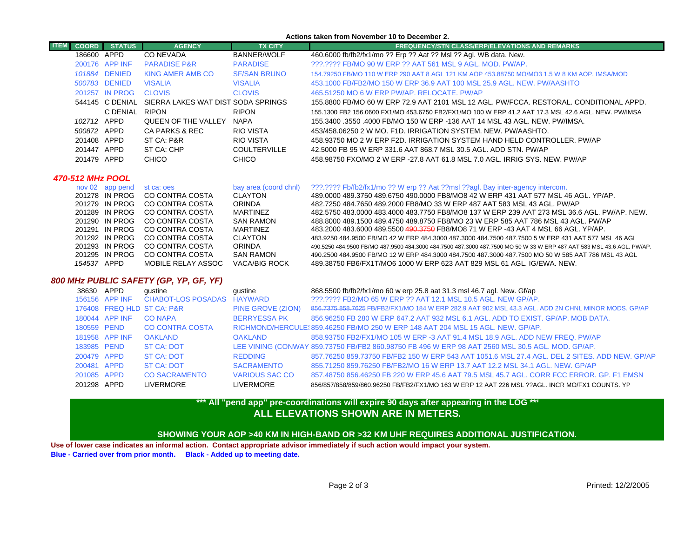#### **Actions taken from November 10 to December 2.**

| <b>ITEM</b>                            | <b>COORD</b> | <b>STATUS</b>                    | <b>AGENCY</b>                      | <b>TX CITY</b>                  | <b>FREQUENCY/STN CLASS/ERP/ELEVATIONS AND REMARKS</b>                                                                                                                                                                         |  |  |  |
|----------------------------------------|--------------|----------------------------------|------------------------------------|---------------------------------|-------------------------------------------------------------------------------------------------------------------------------------------------------------------------------------------------------------------------------|--|--|--|
|                                        | 186600 APPD  |                                  | <b>CO NEVADA</b>                   | <b>BANNER/WOLF</b>              | 460.6000 fb/fb2/fx1/mo ?? Erp ?? Aat ?? Msl ?? Agl. WB data. New.                                                                                                                                                             |  |  |  |
|                                        |              | 200176 APP INF                   | <b>PARADISE P&amp;R</b>            | <b>PARADISE</b>                 | ???.???? FB/MO 90 W ERP ?? AAT 561 MSL 9 AGL. MOD. PW/AP.                                                                                                                                                                     |  |  |  |
|                                        |              | 101884 DENIED                    | <b>KING AMER AMB CO</b>            | <b>SF/SAN BRUNO</b>             | 154.79250 FB/MO 110 W ERP 290 AAT 8 AGL 121 KM AOP 453.88750 MO/MO3 1.5 W 8 KM AOP. IMSA/MOD                                                                                                                                  |  |  |  |
|                                        |              | 500783 DENIED                    | <b>VISALIA</b>                     | <b>VISALIA</b>                  | 453,1000 FB/FB2/MO 150 W ERP 36.9 AAT 100 MSL 25.9 AGL, NEW, PW/AASHTO                                                                                                                                                        |  |  |  |
|                                        |              | 201257 IN PROG                   | <b>CLOVIS</b>                      | <b>CLOVIS</b>                   | 465.51250 MO 6 W ERP PW/AP, RELOCATE, PW/AP                                                                                                                                                                                   |  |  |  |
|                                        |              | 544145 C DENIAL                  | SIERRA LAKES WAT DIST SODA SPRINGS |                                 | 155.8800 FB/MO 60 W ERP 72.9 AAT 2101 MSL 12 AGL. PW/FCCA. RESTORAL. CONDITIONAL APPD.                                                                                                                                        |  |  |  |
|                                        |              | C DENIAL                         | <b>RIPON</b>                       | <b>RIPON</b>                    | 155.1300 FB2 156.0600 FX1/MO 453.6750 FB2/FX1/MO 100 W ERP 41.2 AAT 17.3 MSL 42.6 AGL. NEW. PW/IMSA                                                                                                                           |  |  |  |
|                                        | 102712 APPD  |                                  | QUEEN OF THE VALLEY                | <b>NAPA</b>                     | 155.3400 .3550 .4000 FB/MO 150 W ERP -136 AAT 14 MSL 43 AGL. NEW. PW/IMSA.                                                                                                                                                    |  |  |  |
|                                        | 500872 APPD  |                                  | <b>CA PARKS &amp; REC</b>          | <b>RIO VISTA</b>                | 453/458.06250 2 W MO. F1D. IRRIGATION SYSTEM. NEW. PW/AASHTO.                                                                                                                                                                 |  |  |  |
|                                        | 201408 APPD  |                                  | ST CA: P&R                         | <b>RIO VISTA</b>                | 458,93750 MO 2 W ERP F2D. IRRIGATION SYSTEM HAND HELD CONTROLLER. PW/AP                                                                                                                                                       |  |  |  |
|                                        | 201447 APPD  |                                  | ST CA: CHP                         | <b>COULTERVILLE</b>             | 42,5000 FB 95 W ERP 331.6 AAT 868.7 MSL 30.5 AGL, ADD STN, PW/AP                                                                                                                                                              |  |  |  |
|                                        | 201479 APPD  |                                  | <b>CHICO</b>                       | <b>CHICO</b>                    | 458,98750 FXO/MO 2 W ERP -27.8 AAT 61.8 MSL 7.0 AGL, IRRIG SYS, NEW, PW/AP                                                                                                                                                    |  |  |  |
| 470-512 MHz POOL                       |              |                                  |                                    |                                 |                                                                                                                                                                                                                               |  |  |  |
|                                        |              | nov 02 app pend                  | st ca: oes                         | bay area (coord chnl)           | ???.???? Fb/fb2/fx1/mo ?? W erp ?? Aat ??msl ??agl. Bay inter-agency intercom.                                                                                                                                                |  |  |  |
|                                        |              | 201278 IN PROG                   | CO CONTRA COSTA                    | <b>CLAYTON</b>                  | 489,0000 489,3750 489,6750 490,0000 FB8/MO8 42 W ERP 431 AAT 577 MSL 46 AGL, YP/AP,                                                                                                                                           |  |  |  |
|                                        |              | 201279 IN PROG                   | CO CONTRA COSTA                    | <b>ORINDA</b>                   | 482.7250 484.7650 489.2000 FB8/MO 33 W ERP 487 AAT 583 MSL 43 AGL. PW/AP                                                                                                                                                      |  |  |  |
|                                        |              | 201289 IN PROG                   | CO CONTRA COSTA                    | <b>MARTINEZ</b>                 | 482.5750 483.0000 483.4000 483.7750 FB8/MO8 137 W ERP 239 AAT 273 MSL 36.6 AGL, PW/AP, NEW.                                                                                                                                   |  |  |  |
|                                        |              | 201290 IN PROG                   | CO CONTRA COSTA                    | <b>SAN RAMON</b>                | 488.8000 489.1500 489.4750 489.8750 FB8/MO 23 W ERP 585 AAT 786 MSL 43 AGL. PW/AP                                                                                                                                             |  |  |  |
|                                        |              | 201291 IN PROG                   | CO CONTRA COSTA                    | <b>MARTINEZ</b>                 | 483.2000 483.6000 489.5500 490.3750 FB8/MO8 71 W ERP -43 AAT 4 MSL 66 AGL. YP/AP.                                                                                                                                             |  |  |  |
|                                        |              | 201292 IN PROG<br>201293 IN PROG | CO CONTRA COSTA<br>CO CONTRA COSTA | <b>CLAYTON</b><br><b>ORINDA</b> | 483.9250 484.9500 FB/MO 42 W ERP 484.3000 487.3000 484.7500 487.7500 5 W ERP 431 AAT 577 MSL 46 AGL<br>490.5250 484.9500 FB/MO 487.9500 484.3000 484.7500 487.3000 487.7500 MO 50 W 33 W ERP 487 AAT 583 MSL 43.6 AGL. PW/AP. |  |  |  |
|                                        |              | 201295 IN PROG                   | <b>CO CONTRA COSTA</b>             | <b>SAN RAMON</b>                | 490.2500 484.9500 FB/MO 12 W ERP 484.3000 484.7500 487.3000 487.7500 MO 50 W 585 AAT 786 MSL 43 AGL                                                                                                                           |  |  |  |
|                                        | 154537 APPD  |                                  | MOBILE RELAY ASSOC                 | <b>VACA/BIG ROCK</b>            | 489.38750 FB6/FX1T/MO6 1000 W ERP 623 AAT 829 MSL 61 AGL. IG/EWA. NEW.                                                                                                                                                        |  |  |  |
| 800 MHz PUBLIC SAFETY (GP, YP, GF, YF) |              |                                  |                                    |                                 |                                                                                                                                                                                                                               |  |  |  |
|                                        | 38630 APPD   |                                  | gustine                            | gustine                         | 868.5500 fb/fb2/fx1/mo 60 w erp 25.8 aat 31.3 msl 46.7 agl. New. Gf/ap                                                                                                                                                        |  |  |  |
|                                        |              | 156156 APP INF                   | <b>CHABOT-LOS POSADAS</b>          | <b>HAYWARD</b>                  | 222.2222 FB2/MO 65 W ERP 22 AAT 12.1 MSL 10.5 AGL. NEW GP/AP.                                                                                                                                                                 |  |  |  |
|                                        |              |                                  | 176408 FREQ HLD ST CA: P&R         | PINE GROVE (ZION)               | 856,7375 858,7625 FB/FB2/FX1/MO 184 W ERP 282.9 AAT 902 MSL 43.3 AGL, ADD 2N CHNL MINOR MODS, GP/AP                                                                                                                           |  |  |  |
|                                        |              | 180044 APP INF                   | <b>CO NAPA</b>                     | <b>BERRYESSA PK</b>             | 856,96250 FB 280 W ERP 647.2 AAT 932 MSL 6.1 AGL, ADD TO EXIST, GP/AP, MOB DATA,                                                                                                                                              |  |  |  |
|                                        | 180559 PEND  |                                  | <b>CO CONTRA COSTA</b>             |                                 | RICHMOND/HERCULE: 859.46250 FB/MO 250 W ERP 148 AAT 204 MSL 15 AGL, NEW, GP/AP.                                                                                                                                               |  |  |  |
|                                        |              | 181958 APP INF                   | <b>OAKLAND</b>                     | <b>OAKLAND</b>                  | 858.93750 FB2/FX1/MO 105 W ERP -3 AAT 91.4 MSL 18.9 AGL, ADD NEW FREQ, PW/AP                                                                                                                                                  |  |  |  |
|                                        | 183985 PEND  |                                  | <b>ST CA: DOT</b>                  |                                 | LEE VINING (CONWAY 859.73750 FB/FB2 860.98750 FB 496 W ERP 98 AAT 2560 MSL 30.5 AGL. MOD. GP/AP.                                                                                                                              |  |  |  |
|                                        | 200479 APPD  |                                  | <b>ST CA: DOT</b>                  | <b>REDDING</b>                  | 857,76250 859,73750 FB/FB2 150 W ERP 543 AAT 1051.6 MSL 27.4 AGL, DEL 2 SITES, ADD NEW, GP/AP                                                                                                                                 |  |  |  |
|                                        | 200481 APPD  |                                  | <b>ST CA: DOT</b>                  | <b>SACRAMENTO</b>               | 855.71250 859.76250 FB/FB2/MO 16 W ERP 13.7 AAT 12.2 MSL 34.1 AGL, NEW, GP/AP                                                                                                                                                 |  |  |  |

### 201085 APPD CO SACRAMENTO VARIOUS SAC CO 857.48750 856.46250 FB 220 W ERP 45.6 AAT 79.5 MSL 45.7 AGL. CORR FCC ERROR. GP. F1 EMSN

856/857/858/859/860.96250 FB/FB2/FX1/MO 163 W ERP 12 AAT 226 MSL ??AGL. INCR MO/FX1 COUNTS. YP

## **ALL ELEVATIONS SHOWN ARE IN METERS.\*\*\* All "pend app" pre-coordinations will expire 90 days after appearing in the LOG \*\*\***

### **SHOWING YOUR AOP >40 KM IN HIGH-BAND OR >32 KM UHF REQUIRES ADDITIONAL JUSTIFICATION.**

**Use of lower case indicates an informal action. Contact appropriate advisor immediately if such action would impact your system. Blue - Carried over from prior month. Black - Added up to meeting date.**

201298 APPD LIVERMORE LIVERMORE